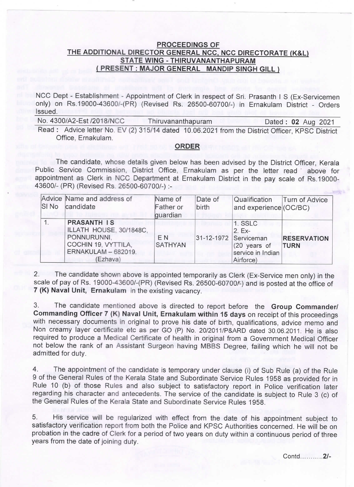## PROCEEDINGS OF THE ADDITIONAL DIRECTOR GENERAL NCC, NCC DIRECTORATE (K&L) STATE WING - THIRUVANANTHAPURAM PRESENT : MAJOR GENERAL MANDIP SINGH GILL

NCC Dept - Establishment - Appointment of Clerk in respect of Sri. Prasanth I S (Ex-Servicemen only) on Rs.19000-43600/-(PR) (Revised Rs. 26500-60700/-) in Ernakulam District - Orders Issued.

No. 4300/A2-Est /2018/NCC Thiruvananthapuram Dated: 02 Aug 2021

Read: Advice letter No. EV (2) 315/14 dated 10.06.2021 from the District Officer, KPSC District Office, Ernakulam.

## ORDER

The candidate, whose details given below has been advised by the District Officer, Kerala Public Service Commission, District Office, Ernakulam as per the letter read ' above for appointment as Clerk in NCC Department at Ernakulam District in the pay scale of Rs.19000- 43600/- (PR) (Revised Rs. 26500-60700/-) :-

| SI No | Advice Name and address of<br>candidate                                                                                | Name of<br>Father or<br>guardian | Date of<br>birth | Qualification<br>and experience (OC/BC)                                                        | Turn of Advice                    |
|-------|------------------------------------------------------------------------------------------------------------------------|----------------------------------|------------------|------------------------------------------------------------------------------------------------|-----------------------------------|
|       | <b>PRASANTH IS</b><br>ILLATH HOUSE, 30/1848C.<br>PONNURUNNI,<br>COCHIN 19, VYTTILA,<br>ERNAKULAM - 682019.<br>(Ezhava) | E <sub>N</sub><br><b>SATHYAN</b> |                  | 1. SSLC<br>$2. Ex-$<br>31-12-1972 Serviceman<br>(20 years of<br>service in Indian<br>Airforce) | <b>RESERVATION</b><br><b>TURN</b> |

2. The candidate shown above is appointed temporarily as clerk (Ex-Service men only) in the scale of pay of Rs. 19000-43600/-(PR) (Revised Rs. 26500-60700/-) and is posted at the office of 7 (K) Naval Unit, Ernakulam in the existing vacancy.

3. The candidate mentioned above is directed to report before the Group Commander/ Commanding Officer 7 (K) Naval Unit, Ernakulam within 15 days on receipt of this proceedings with necessary documents in original to prove his date of birth, qualifications, advice memo and Non creamy layer certificate etc as per GO (P) No. 20/2011/P&ARD dated 30.06.2011. He is also required to produce a Medical Certificate of health in original from a Government Medical Officer not below the rank of an Assistant Surgeon having MBBS Degree, failing which he`will not be admitted for duty.

4. The appointment of the candidate is temporary under clause (i) of sub Rule (a) of the Rule 9 of the General Rules of the Kerala State and Subordinate Service Rules 1958 as provided for in Rule 10 (b) of those Rules and also subject to satisfactory report in Police verification later regarding his character and antecedents. The service of the candidate is subject to Rule 3 (c) of the General Rules of the Kerala State and Subordinate Service Rules 1958.

5. His service will be regularized with effect from the date of his appointment subject to satisfactory verification report from both the Police and KPSC Authorities concerned. He will be on probation in the cadre of Clerk for a period of two years on duty within a continuous period of three years from the date of joining duty.